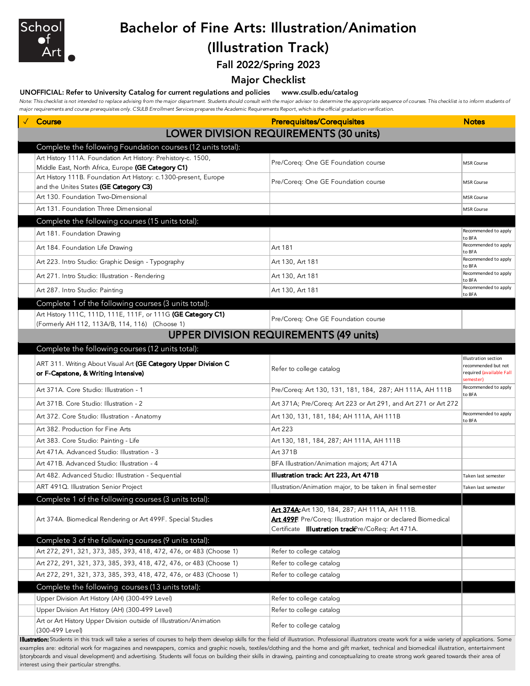

## Bachelor of Fine Arts: Illustration/Animation

## (Illustration Track)

Fall 2022/Spring 2023

#### Major Checklist

#### UNOFFICIAL: Refer to University Catalog for current regulations and policies www.csulb.edu/catalog

Note: This checklist is not intended to replace advising from the major department. Students should consult with the major advisor to determine the appropriate sequence of courses. This checklist is to inform students of *major requirements and course prerequisites only. CSULB Enrollment Services prepares the Academic Requirements Report, which is the official graduation verification.*

| major requirements and course prerequisites only. Couch Enrolment services prepares the Academic Requirements Report, which is the onicial graduation vernication. |                                                                                                                  |                                                                                      |
|--------------------------------------------------------------------------------------------------------------------------------------------------------------------|------------------------------------------------------------------------------------------------------------------|--------------------------------------------------------------------------------------|
| √ Course                                                                                                                                                           | <b>Prerequisites/Corequisites</b>                                                                                | <b>Notes</b>                                                                         |
|                                                                                                                                                                    | <b>LOWER DIVISION REQUIREMENTS (30 units)</b>                                                                    |                                                                                      |
| Complete the following Foundation courses (12 units total):                                                                                                        |                                                                                                                  |                                                                                      |
| Art History 111A. Foundation Art History: Prehistory-c. 1500,<br>Middle East, North Africa, Europe (GE Category C1)                                                | Pre/Coreq: One GE Foundation course                                                                              | <b>MSR Course</b>                                                                    |
| Art History 111B. Foundation Art History: c.1300-present, Europe<br>and the Unites States (GE Category C3)                                                         | Pre/Coreq: One GE Foundation course                                                                              | <b>MSR Course</b>                                                                    |
| Art 130. Foundation Two-Dimensional                                                                                                                                |                                                                                                                  | <b>MSR Course</b>                                                                    |
| Art 131. Foundation Three Dimensional                                                                                                                              |                                                                                                                  | <b>MSR Course</b>                                                                    |
| Complete the following courses (15 units total):                                                                                                                   |                                                                                                                  |                                                                                      |
| Art 181. Foundation Drawing                                                                                                                                        |                                                                                                                  | Recommended to apply<br>to BFA                                                       |
| Art 184. Foundation Life Drawing                                                                                                                                   | Art 181                                                                                                          | Recommended to apply<br>to BFA                                                       |
| Art 223. Intro Studio: Graphic Design - Typography                                                                                                                 | Art 130, Art 181                                                                                                 | Recommended to apply<br>to BFA                                                       |
| Art 271. Intro Studio: Illustration - Rendering                                                                                                                    | Art 130, Art 181                                                                                                 | Recommended to apply<br>to BFA                                                       |
| Art 287. Intro Studio: Painting                                                                                                                                    | Art 130, Art 181                                                                                                 | Recommended to apply<br>to BFA                                                       |
| Complete 1 of the following courses (3 units total):                                                                                                               |                                                                                                                  |                                                                                      |
| Art History 111C, 111D, 111E, 111F, or 111G (GE Category C1)<br>(Formerly AH 112, 113A/B, 114, 116) (Choose 1)                                                     | Pre/Coreq: One GE Foundation course                                                                              |                                                                                      |
|                                                                                                                                                                    | <b>UPPER DIVISION REQUIREMENTS (49 units)</b>                                                                    |                                                                                      |
| Complete the following courses (12 units total):                                                                                                                   |                                                                                                                  |                                                                                      |
| ART 311. Writing About Visual Art (GE Category Upper Division C<br>or F-Capstone, & Writing Intensive)                                                             | Refer to college catalog                                                                                         | Illustration section<br>recommended but not<br>required (available Fall<br>semester) |
| Art 371A. Core Studio: Illustration - 1                                                                                                                            | Pre/Coreq: Art 130, 131, 181, 184, 287; AH 111A, AH 111B                                                         | Recommended to apply<br>to BFA                                                       |
| Art 371B. Core Studio: Illustration - 2                                                                                                                            | Art 371A; Pre/Coreq: Art 223 or Art 291, and Art 271 or Art 272                                                  |                                                                                      |
| Art 372. Core Studio: Illustration - Anatomy                                                                                                                       | Art 130, 131, 181, 184; AH 111A, AH 111B                                                                         | Recommended to apply<br>to BFA                                                       |
| Art 382. Production for Fine Arts                                                                                                                                  | Art 223                                                                                                          |                                                                                      |
| Art 383. Core Studio: Painting - Life                                                                                                                              | Art 130, 181, 184, 287; AH 111A, AH 111B                                                                         |                                                                                      |
| Art 471A. Advanced Studio: Illustration - 3                                                                                                                        | Art 371B                                                                                                         |                                                                                      |
| Art 471B. Advanced Studio: Illustration - 4                                                                                                                        | BFA Illustration/Animation majors; Art 471A                                                                      |                                                                                      |
| Art 482. Advanced Studio: Illustration - Sequential                                                                                                                | Illustration track: Art 223, Art 471B                                                                            | Taken last semester                                                                  |
| ART 491Q. Illustration Senior Project                                                                                                                              | Illustration/Animation major, to be taken in final semester                                                      | Taken last semester                                                                  |
| Complete 1 of the following courses (3 units total):                                                                                                               |                                                                                                                  |                                                                                      |
| Art 374A. Biomedical Rendering or Art 499F. Special Studies                                                                                                        | Art 374A: Art 130, 184, 287; AH 111A, AH 111B.<br>Art 499F. Pre/Coreq: Illustration major or declared Biomedical |                                                                                      |
|                                                                                                                                                                    | Certificate Illustration trackPre/CoReq: Art 471A.                                                               |                                                                                      |
| Complete 3 of the following courses (9 units total):                                                                                                               |                                                                                                                  |                                                                                      |
| Art 272, 291, 321, 373, 385, 393, 418, 472, 476, or 483 (Choose 1)                                                                                                 | Refer to college catalog                                                                                         |                                                                                      |
| Art 272, 291, 321, 373, 385, 393, 418, 472, 476, or 483 (Choose 1)                                                                                                 | Refer to college catalog                                                                                         |                                                                                      |
| Art 272, 291, 321, 373, 385, 393, 418, 472, 476, or 483 (Choose 1)                                                                                                 | Refer to college catalog                                                                                         |                                                                                      |
| Complete the following courses (13 units total):                                                                                                                   |                                                                                                                  |                                                                                      |
| Upper Division Art History (AH) (300-499 Level)                                                                                                                    | Refer to college catalog                                                                                         |                                                                                      |
| Upper Division Art History (AH) (300-499 Level)                                                                                                                    | Refer to college catalog                                                                                         |                                                                                      |
| Art or Art History Upper Division outside of Illustration/Animation<br>(300-499 Level)                                                                             | Refer to college catalog                                                                                         |                                                                                      |

Illustration: Students in this track will take a series of courses to help them develop skills for the field of illustration. Professional illustrators create work for a wide variety of applications. Some examples are: editorial work for magazines and newspapers, comics and graphic novels, textiles/clothing and the home and gift market, technical and biomedical illustration, entertainment (storyboards and visual development) and advertising. Students will focus on building their skills in drawing, painting and conceptualizing to create strong work geared towards their area of interest using their particular strengths.